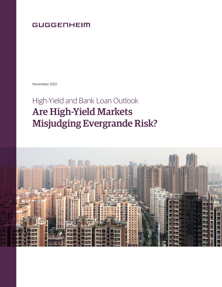## **GUGGENHEIM**

November 2021

# High-Yield and Bank Loan Outlook Are High-Yield Markets Misjudging Evergrande Risk?

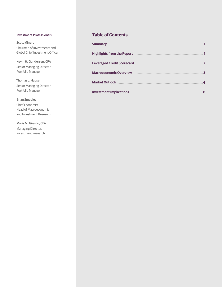#### Investment Professionals

Scott Minerd Chairman of Investments and Global Chief Investment Officer

Kevin H. Gundersen, CFA Senior Managing Director, Portfolio Manager

Thomas J. Hauser Senior Managing Director, Portfolio Manager

#### Brian Smedley

Chief Economist, Head of Macroeconomic and Investment Research

Maria M. Giraldo, CFA Managing Director, Investment Research

#### **Table of Contents**

| <b>Summary</b>                    |                         |
|-----------------------------------|-------------------------|
| <b>Highlights from the Report</b> |                         |
| <b>Leveraged Credit Scorecard</b> | $\overline{2}$          |
| <b>Macroeconomic Overview</b>     | 3                       |
| <b>Market Outlook</b>             | $\overline{\mathbf{4}}$ |
| <b>Investment Implications</b>    | 8                       |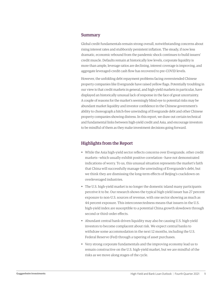#### Summary

Global credit fundamentals remain strong overall, notwithstanding concerns about rising interest rates and stubbornly persistent inflation. The steady, if now less dramatic, economic rebound from the pandemic shock continues to build issuers' credit muscle. Defaults remain at historically low levels, corporate liquidity is more than ample, leverage ratios are declining, interest coverage is improving, and aggregate leveraged-credit cash flow has recovered to pre-COVID levels.

However, the unfolding debt repayment problems facing overextended Chinese property companies like Evergrande have raised yellow flags. Potentially troubling in our view is that credit markets in general, and high-yield markets in particular, have displayed an historically unusual lack of response in the face of great uncertainty. A couple of reasons for the market's seemingly blind eye to potential risks may be abundant market liquidity and investor confidence in the Chinese government's ability to choreograph a hitch-free unwinding of Evergrande debt and other Chinese property companies showing distress. In this report, we draw out certain technical and fundamental links between high-yield credit and Asia, and encourage investors to be mindful of them as they make investment decisions going forward.

#### Highlights from the Report

- While the Asia high-yield sector reflects concerns over Evergrande, other credit markets—which usually exhibit positive correlation—have not demonstrated indications of worry. To us, this unusual situation represents the market's faith that China will successfully manage the unwinding of Evergrande's debt, but we think they are dismissing the long-term effects of Beijing's crackdown on overleveraged industries.
- The U.S. high-yield market is no longer the domestic island many participants perceive it to be. Our research shows the typical high-yield issuer has 27 percent exposure to non-U.S. sources of revenue, with one sector showing as much as 44 percent exposure. This interconnectedness means that issuers in the U.S. high-yield index are susceptible to a potential China growth slowdown through second or third-order effects.
- Abundant central bank-driven liquidity may also be causing U.S. high-yield investors to become complacent about risk. We expect central banks to withdraw some accommodation in the next 12 months, including the U.S. Federal Reserve (Fed) through a tapering of asset purchases.
- Very strong corporate fundamentals and the improving economy lead us to remain constructive on the U.S. high-yield market, but we are mindful of the risks as we move along stages of the cycle.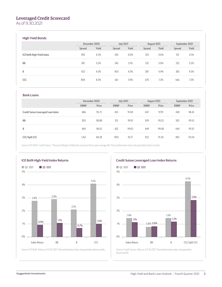#### Leveraged Credit Scorecard

As of 9.30.2021

#### High-Yield Bonds

|                                  | December 2020 |       | <b>July 2021</b> |       | August 2021 |       | September 2021 |       |
|----------------------------------|---------------|-------|------------------|-------|-------------|-------|----------------|-------|
|                                  | Spread        | Yield | Spread           | Yield | Spread      | Yield | Spread         | Yield |
| <b>ICE BofA High-Yield Index</b> | 390           | 4.2%  | 345              | 4.0%  | 333         | 4.0%  | 331            | 4.1%  |
| <b>BB</b>                        | 281           | 3.2%  | 245              | 3.1%  | 232         | 3.0%  | 232            | 3.2%  |
| B                                | 422           | 4.5%  | 403              | 4.5%  | 387         | 4.4%  | 383            | 4.5%  |
| CCC                              | 804           | 8.3%  | 661              | 7.0%  | 670         | 7.2%  | 666            | 7.3%  |

#### Bank Loans

|                                           | December 2020 |       | <b>July 2021</b> |       | August 2021      |       | September 2021 |       |
|-------------------------------------------|---------------|-------|------------------|-------|------------------|-------|----------------|-------|
|                                           | DMM*          | Price | DMM*             | Price | DMM <sup>*</sup> | Price | DMM*           | Price |
| <b>Credit Suisse Leveraged Loan Index</b> | 486           | 95.73 | 453              | 97.69 | 447              | 97.91 | 438            | 98.42 |
| <b>BB</b>                                 | 305           | 98.88 | 315              | 99,10 | 309              | 99.22 | 302            | 99.53 |
| B                                         | 469           | 98.55 | 452              | 99.03 | 449              | 99.08 | 444            | 99.35 |
| <b>CCC/Split CCC</b>                      | 1,167         | 84.28 | 900              | 92.17 | 922              | 91.30 | 892            | 92.04 |

Source: ICE BofA, Credit Suisse. \*Discount Margin to Maturity assumes three-year average life. Past performance does not guarantee future results.





Source: Credit Suisse. Data as of 9.30.2021. Past performance does not guarantee future results.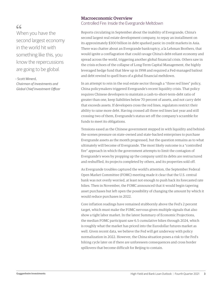### $66$

When you have the second largest economy in the world hit with something like this, you know the repercussions are going to be global.

– Scott Minerd,

*Chairman of Investments and Global Chief Investment Officer*

#### Macroeconomic Overview

Controlled Fire: Inside the Evergrande Meltdown

Reports circulating in September about the inability of Evergrande, China's second largest real estate development company, to repay an installment on its approximately \$300 billion in debt sparked panic in credit markets in Asia. There was chatter about an Evergrande bankruptcy, a la Lehman Brothers, that would ignite a conflagration that could ravage China's debt-reliant economy and spread across the world, triggering another global financial crisis. Others saw in the crisis echoes of the collapse of Long-Term Capital Management, the highly leveraged hedge fund that blew up in 1998 and required a Fed-managed bailout and debt rewind to quell fears of a global financial meltdown.

In an attempt to rein in the real estate sector through a "three red lines" policy, China policymakers triggered Evergrande's recent liquidity crisis. That policy requires Chinese developers to maintain a cash-to-short-term-debt ratio of greater than one, keep liabilities below 70 percent of assets, and not carry debt that exceeds assets. If developers cross the red lines, regulators restrict their ability to raise more debt. Having crossed all three red lines last year and still crossing two of them, Evergrande's status set off the company's scramble for funds to meet its obligations.

Tensions eased as the Chinese government stepped in with liquidity and behindthe-scenes pressure on state-owned and state-backed enterprises to purchase Evergrande assets as the month progressed, but the question remains as to what ultimately will become of Evergrande. The most likely outcome is a "controlled fire" approach in which the government attempts to limit the contagion of Evergrande's woes by propping up the company until its debts are restructured and reshuffled, its projects completed by others, and its properties sold off.

As Evergrande troubles captured the world's attention, the September Federal Open Market Committee (FOMC) meeting made it clear that the U.S. central bank was not overly worried, at least not enough to push back its forecasted rate hikes. Then in November, the FOMC announced that it would begin tapering asset purchases but left open the possibility of changing the amount by which it would reduce purchases in 2022.

Core inflation readings have remained stubbornly above the Fed's 2 percent target, which must make the FOMC nervous given multiple signals that also show a tight labor market. In the latest Summary of Economic Projections, the median FOMC participant saw 6.5 cumulative hikes through 2024, which is roughly what the market has priced into the Eurodollar futures market as well. Given recent data, we believe the Fed will get underway with policy normalization in 2022. However, the China situation poses a risk to the Fed's hiking cycle later on if there are unforeseen consequences and cross border spillovers that become difficult for Beijing to contain.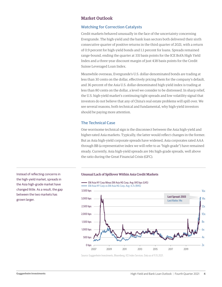#### Market Outlook

#### **Watching for Correction Catalysts**

Credit markets behaved unusually in the face of the uncertainty concerning Evergrande. The high-yield and the bank loan sectors both delivered their sixth consecutive quarter of positive returns in the third quarter of 2021, with a return of 0.9 percent for high-yield bonds and 1.1 percent for loans. Spreads remained range-bound, ending the quarter at 331 basis points for the ICE BofA High Yield Index and a three-year discount margin of just 438 basis points for the Credit Suisse Leveraged Loan Index.

Meanwhile overseas, Evergrande's U.S. dollar-denominated bonds are trading at less than 30 cents on the dollar, effectively pricing them for the company's default, and 36 percent of the Asia U.S. dollar-denominated high-yield index is trading at less than 80 cents on the dollar, a level we consider to be distressed. In sharp relief, the U.S. high-yield market's continuing tight spreads and low volatility signal that investors do not believe that any of China's real estate problems will spill over. We see several reasons, both technical and fundamental, why high-yield investors should be paying more attention.

#### **The Technical Case**

One worrisome technical sign is the disconnect between the Asia high-yield and higher-rated Asia markets. Typically, the latter would reflect changes in the former. But as Asia high-yield corporate spreads have widened, Asia corporates rated AAA through BB (a representative index we will refer to as "high-grade") have remained steady. Currently, Asia high-yield spreads are 14x high-grade spreads, well above the ratio during the Great Financial Crisis (GFC).

the high-yield market, spreads in the Asia high-grade market have changed little. As a result, the gap between the two markets has grown larger.

#### Instead of reflecting concerns in Unusual Lack of Spillover Within Asia Credit Markets

EM Asia HY Corp Minus EM Asia HG Corp, Avg: 843 bps (LHS) - EM Asia HY Corp vs EM Asia HG Corp, Avg: 4.7x (RHS)



Source: Guggenheim Investments, Bloomberg, ICE Index Services. Data as of 11.15.2021.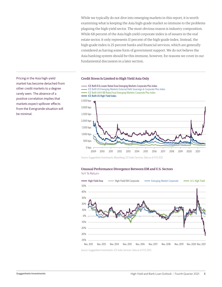While we typically do not dive into emerging markets in this report, it is worth examining what is keeping the Asia high-grade market so immune to the problems plaguing the high-yield sector. The most obvious reason is industry composition. While 68 percent of the Asia high-yield corporate index is of issuers in the real estate sector, it only represents 11 percent of the high-grade index. Instead, the high-grade index is 25 percent banks and financial services, which are generally considered as having some form of government support. We do not believe the Asia banking system should be this immune, however, for reasons we cover in our fundamental discussion in a later section.

#### Pricing in the Asia high-yield Credit Stress Is Limited to High Yield Asia Only



Source: Guggenheim Investments, Bloomberg, ICE Index Services. Data as of 11.15.2021.

#### Unusual Performance Divergence Between EM and U.S. Sectors YoY % Return



Source: Guggenheim Investments, ICE Index Services. Data as of 11.15.2021.

market has become detached from other credit markets to a degree rarely seen. The absence of a positive correlation implies that markets expect spillover effects from the Evergrande situation will be minimal.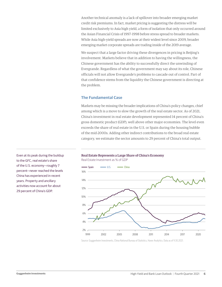Another technical anomaly is a lack of spillover into broader emerging market credit risk premiums. In fact, market pricing is suggesting the distress will be limited exclusively to Asia high yield, a form of isolation that only occurred around the Asian Financial Crisis of 1997–1998 before stress spread to broader markets. While Asia high-yield spreads are now at their widest level since 2009, broader emerging market corporate spreads are trading inside of the 2019 average.

We suspect that a large factor driving these divergences in pricing is Beijing's involvement. Markets believe that in addition to having the willingness, the Chinese government has the ability to successfully direct the unwinding of Evergrande. Regardless of what the government may say about its role, Chinese officials will not allow Evergrande's problems to cascade out of control. Part of that confidence stems from the liquidity the Chinese government is directing at the problem.

#### **The Fundamental Case**

Real Estate Investment as % of GDP

Markets may be missing the broader implications of China's policy changes, chief among which is a move to slow the growth of the real estate sector. As of 2021, China's investment in real estate development represented 14 percent of China's gross domestic product (GDP), well above other major economies. The level even exceeds the share of real estate in the U.S. or Spain during the housing bubble of the mid-2000s. Adding other indirect contributions to the broad real estate category, we estimate the sector amounts to 29 percent of China's total output.

Real Estate Represents a Large Share of China's Economy

Even at its peak during the buildup to the GFC, real estate's share of the U.S. economy—roughly 7 percent—never reached the levels China has experienced in recent years. Property and ancillary activities now account for about 29 percent of China's GDP.



Source: Guggenheim Investments, China National Bureau of Statistics, Haver Analytics. Data as of 9.30.2021.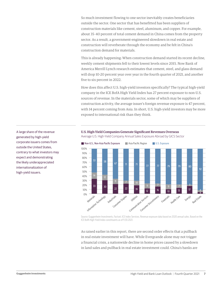So much investment flowing to one sector inevitably creates beneficiaries outside the sector. One sector that has benefitted has been suppliers of construction materials like cement, steel, aluminum, and copper. For example, about 35–40 percent of total cement demand in China comes from the property sector. As a result, a government-engineered slowdown in real estate and construction will reverberate through the economy and be felt in China's construction demand for materials.

This is already happening: When construction demand started its recent decline, weekly cement shipments fell to their lowest levels since 2015. Now Bank of America Merrill Lynch research estimates that cement, steel, and glass demand will drop 10-20 percent year over year in the fourth quarter of 2021, and another five to six percent in 2022.

How does this affect U.S. high-yield investors specifically? The typical high-yield company in the ICE BofA High Yield Index has 27 percent exposure to non-U.S. sources of revenue. In the materials sector, some of which may be suppliers of construction activity, the average issuer's foreign revenue exposure is 47 percent, with 14 percent coming from Asia. In short, U.S. high-yield investors may be more exposed to international risk than they think.



U.S. High-Yield Companies Generate Significant Revenues Overseas Average U.S. High-Yield Company Annual Sales Exposure Abroad by GICS Sector

Source: Guggenheim Investments, Factset, ICE Index Services. Revenue exposure data based on 2020 annual sales. Based on the ICE BofA High-Yield Index constituents as of 9.30.2021.

As raised earlier in this report, there are second order effects that a pullback in real estate investment will have. While Evergrande alone may not trigger a financial crisis, a nationwide decline in home prices caused by a slowdown in land sales and pullback in real estate investment could. China's banks are

A large share of the revenue generated by high-yield corporate issuers comes from outside the United States, contrary to what investors may expect and demonstrating the likely underappreciated internationalization of high-yield issuers.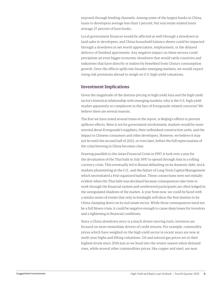exposed through lending channels. Among some of the largest banks in China, loans to developers average less than 1 percent, but real estate related loans average 27 percent of loan books.

Local government finances would be affected as well through a slowdown in land sales to developers, and China household balance sheets could be impacted through a slowdown in net worth appreciation, employment, or the delayed delivery of finished apartments. Any negative impact on these sectors could precipitate an even bigger economic slowdown that would rattle countries and industries that have directly or indirectly benefited from China's consumption growth. Once the effects spills into broader emerging markets, we would expect rising risk premiums abroad to weigh on U.S. high-yield valuations.

#### Investment Implications

Given the magnitude of the distress pricing in high-yield Asia and the high-yield sector's historical relationship with emerging markets, why is the U.S. high-yield market apparently so complacent in the face of Evergrande-related concerns? We believe there are several reasons.

The first we have noted several times in the report, is Beijing's efforts to prevent spillover effects. Were it not for government involvement, markets would be more worried about Evergrande's suppliers, their unfinished construction units, and the impact to Chinese consumers and other developers. However, we believe it may not be until the second half of 2022, or even later, before the full repercussions of the crisis brewing in China becomes clear.

Drawing parallels to the Asian Financial Crisis in 1997, it took over a year for the devaluation of the Thai baht in July 1997 to spread through Asia in a rolling currency crisis. This eventually led to Russia defaulting on its domestic debt, stock markets plummeting in the U.S., and the failure of Long Term Capital Management which necessitated a Fed-organized bailout. These connections were not initially evident when the Thai baht was devalued because consequences take time to work through the financial system and overlevered participants are often lodged in the unregulated shadows of the market. A year from now, we could be faced with a similar series of events that only in hindsight will show the first domino to be China clamping down on its real estate sector. While those consequences need not be a full blown crisis, it could be negative enough to cause deep losses for investors and a tightening in financial conditions.

Since a China slowdown story is a much slower moving train, investors are focused on more immediate drivers of credit returns. For example, commodity prices which have weighed on the high-yield sector in recent years are now at multi-year highs and lifting valuations. Oil and natural gas prices are at their highest levels since 2014 just as we head into the winter season when demand rises, while several other commodities prices, like copper and steel, are near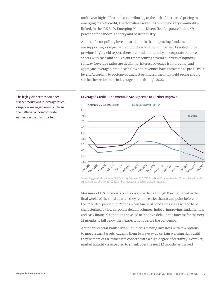multi-year highs. This is also contributing to the lack of distressed pricing in emerging market credit, a sector whose revenues tend to be very commoditylinked. In the ICE BofA Emerging Markets Diversified Corporate Index, 49 percent of the index is energy and basic industry.

Another factor pulling investor attention is that improving fundamentals are supporting a sanguine credit outlook for U.S. companies. As noted in the previous high-yield report, there is abundant liquidity on corporate balance sheets with cash and equivalents representing several quarters of liquidity runway. Leverage ratios are declining, interest coverage is improving, and aggregate leveraged-credit cash flow and revenues have recovered to pre-COVID levels. According to bottom-up analyst estimates, the high-yield sector should see further reductions in leverage ratios through 2022.

#### The high-yield sector should see **Leveraged Credit Fundamentals Are Expected to Further Improve**



Source: Guggenheim Investments, S&P Capital IQ. Data as of 9.30.2021. Based on 430 companies rated BB+ or below with analyst expectations available through Q2 2022. "Exp." represents consensus analyst expectations.

Measures of U.S. financial conditions show that although they tightened in the final weeks of the third quarter, they remain easier than at any point before the COVID-19 pandemic. Periods when financial conditions are easy tend to be characterized by low corporate default volumes. Indeed, improving fundamentals and easy financial conditions have led to Moody's default rate forecast for the next 12 months to fall below their expectations before the pandemic.

Abundant central-bank driven liquidity is leaving investors with few options to meet return targets, causing them to wave away certain warning flags until they're more of an immediate concern with a high degree of certainty. However, market liquidity is expected to shrink over the next 12 months as the Fed

further reductions in leverage ratios, despite some negative impact from the Delta variant on corporate earnings in the third quarter.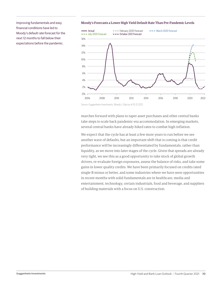financial conditions have led to Moody's default rate forecast for the next 12 months to fall below their expectations before the pandemic.

#### Improving fundamentals and easy Moody's Forecasts a Lower High Yield Default Rate Than Pre-Pandemic Levels



Source: Guggenheim Investments, Moody's. Data as of 10.31.2021.

marches forward with plans to taper asset purchases and other central banks take steps to scale back pandemic-era accommodation. In emerging markets, several central banks have already hiked rates to combat high inflation.

We expect that the cycle has at least a few more years to run before we see another wave of defaults, but an important shift that is coming is that credit performance will be increasingly differentiated by fundamentals, rather than liquidity, as we move into later stages of the cycle. Given that spreads are already very tight, we see this as a good opportunity to take stock of global growth drivers, re-evaluate foreign exposures, assess the balance of risks, and take some gains in lower quality credits. We have been primarily focused on credits rated single-B minus or better, and some industries where we have seen opportunities in recent months with solid fundamentals are in healthcare, media and entertainment, technology, certain industrials, food and beverage, and suppliers of building materials with a focus on U.S. construction.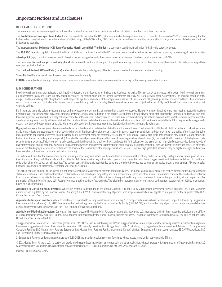#### Important Notices and Disclosures

#### **INDEX AND OTHER DEFINITIONS**

The referenced indices are unmanaged and not available for direct investment. Index performance does not reflect transaction costs, fees or expenses.

The Credit Suisse Leveraged Loan Index tracks the investable market of the U.S. dollar denominated leveraged loan market. It consists of issues rated "5B" or lower, meaning that the highest rated issues included in this index are Moody's/S&P ratings of Baa1/BB+ or Ba1/ BBB+. All loans are funded term loans with a tenor of at least one year and are made by issuers domiciled in developed countries.

The **Intercontinental Exchange (ICE) Bank of America Merrill Lynch High-Yield Index** is a commonly used benchmark index for high-yield corporate bonds.

The S&P 500 Index is a capitalization-weighted index of 500 stocks, actively traded in the U.S., designed to measure the performance of the broad economy, representing all major industries.

A **basis point (bps)** is a unit of measure used to describe the percentage change in the value or rate of an instrument. One basis point is equivalent to 0.01%.

The three-year **discount margin to maturity (dmm)**, also referred to as discount margin, is the yield-to-refunding of a loan facility less the current three-month Libor rate, assuming a three year average life for the loan.

The **London Interbank Offered Rate (Libor)** is a benchmark rate that a select group of banks charge each other for unsecured short-term funding.

**Spread** is the difference in yield to a Treasury bond of comparable maturity.

**EBITDA**, which stands for earnings before interest, taxes, depreciation and amortization, is a commonly used proxy for the earning potential of a business.

#### **RISK CONSIDERATIONS**

Fixed-income investments are subject to credit, liquidity, interest rate and, depending on the instrument, counter-party risk. These risks may be increased to the extent fixed-income investments are concentrated in any one issuer, industry, region or country. The market value of fixed-income investments generally will fluctuate with, among other things, the financial condition of the obligors on the underlying debt obligations or, with respect to synthetic securities, of the obligors on or issuers of the reference obligations, general economic conditions, the condition of certain financial markets, political events, developments or trends in any particular industry. Fixed-income investments are subject to the possibility that interest rates could rise, causing their values to decline.

Bank loans are generally below investment grade and may become nonperforming or impaired for a variety of reasons. Nonperforming or impaired loans may require substantial workout negotiations or restructuring that may entail, among other things, a substantial reduction in the interest rate and/or a substantial write down of the principal of the loan. In addition, certain bank loans are highly customized and, thus, may not be purchased or sold as easily as publicly-traded securities. Any secondary trading market also may be limited, and there can be no assurance that an adequate degree of liquidity will be maintained. The transferability of certain bank loans may be restricted. Risks associated with bank loans include the fact that prepayments may generally occur at any time without premium or penalty. High-yield debt securities have greater credit and liquidity risk than investment grade obligations.

High-yield debt securities are generally unsecured and may be subordinated to certain other obligations of the issuer thereof. The lower rating of high-yield debt securities and below investment grade loans reflects a greater possibility that adverse changes in the financial condition of an issuer or in general economic conditions, or both, may impair the ability of the issuer thereof to make payments of principal or interest. Securities rated below investment grade are commonly referred to as "junk bonds." Risks of high-yield debt securities may include (among others): (i) limited liquidity and secondary market support, (ii) substantial market place volatility resulting from changes in prevailing interest rates, (iii) the possibility that earnings of the high-yield debt security issuer may be insufficient to meet its debt service, and (iv) the declining creditworthiness and potential for insolvency of the issuer of such high-yield debt securities during periods of rising interest rates and/or economic downturn. An economic downturn or an increase in interest rates could severely disrupt the market for high-yield debt securities and adversely affect the value of outstanding high-yield debt securities and the ability of the issuers thereof to repay principal and interest. Issuers of high-yield debt securities may be highly leveraged and may not have available to them more traditional methods of financing.

This article is distributed for informational or educational purposes only and should not be considered a recommendation of any particular security, strategy or investment product, or as investing advice of any kind. This article is not provided in a fiduciary capacity, may not be relied upon for or in connection with the making of investment decisions, and does not constitute a solicitation of an offer to buy or sell securities. The content contained herein is not intended to be and should not be construed as legal or tax advice and/or a legal opinion. Always consult a financial, tax and/or legal professional regarding your specific situation.

This article contains opinions of the author but not necessarily those of Guggenheim Partners or its subsidiaries. The author's opinions are subject to change without notice. Forward looking statements, estimates, and certain information contained herein are based upon proprietary and non-proprietary research and other sources. Information contained herein has been obtained from sources believed to be reliable, but are not assured as to accuracy. No part of this article may be reproduced in any form, or referred to in any other publication, without express written permission of Guggenheim Partners, LLC. Past performance is not indicative of future results. There is neither representation nor warranty as to the current accuracy of, nor liability for, decisions based on such information.

**Applicable to United Kingdom investors:** Where this material is distributed in the United Kingdom, it is done so by Guggenheim Investment Advisers (Europe) Ltd., a U.K. Company authorized and regulated by the Financial Conduct Authority (FRN 499798) and is directed only at persons who are professional clients or eligible counterparties for the purposes of the FCA's Conduct of Business Sourcebook.

**Applicable to European Investors:** Where this material is distributed to existing investors and pre 1 January 2021 prospect relationships based in mainland Europe, it is done so by Guggenheim Investment Advisers (Europe) Ltd., a U.K. Company authorized and regulated by the Financial Conduct Authority (FRN 499798) and is directed only at persons who are professional clients or eligible counterparties for the purposes of the FCA's Conduct of Business Sourcebook.

**Applicable to Middle East investors:** Contents of this report prepared by Guggenheim Partners Investment Management, LLC, a registered entity in their respective jurisdiction, and affiliate of Guggenheim Partners Middle East Limited, the Authorized Firm regulated by the Dubai Financial Services Authority. This report is intended for qualified investor use only as defined in the DFSA Conduct of Business Module.

1. Guggenheim Investments assets under management are as of 9.30.2021 and include leverage of \$17.9bn. Guggenheim Investments represents the following affiliated investment management businesses: Guggenheim Partners Investment Management, LLC, Security Investors, LLC, Guggenheim Funds Distributors, LLC, Guggenheim Funds Investment Advisors, LLC, Guggenheim Corporate Funding, LLC, Guggenheim Partners Europe Limited, Guggenheim Partners Fund Management (Europe) Limited, Guggenheim Partners Japan Limited, GS GAMMA Advisors, LLC, and Guggenheim Partners India Management.

2. Guggenheim Partners under management are as of 9.30.2021 and include consulting services for clients whose assets are valued at approximately \$78bn.

© 2021, Guggenheim Partners, LLC. No part of this article may be reproduced in any form, or referred to in any other publication, without express written permission of Guggenheim Partners, LLC. Guggenheim Funds Distributors, LLC is an affiliate of Guggenheim Partners, LLC. For information, call 800.345.7999 or 800.820.0888.

Member FINRA/SIPC GPIM 50076